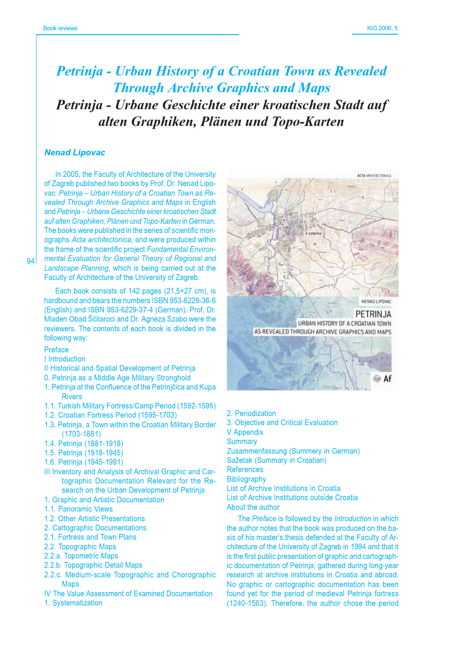# **Petrinja - Urban History of a Croatian Town as Revealed Through Archive Graphics and Maps** Petrinja - Urbane Geschichte einer kroatischen Stadt auf alten Graphiken, Plänen und Topo-Karten

#### **Nenad Lipovac**

In 2005, the Faculty of Architecture of the University of Zagreb published two books by Prof. Dr. Nenad Lipovac: Petrinja - Urban History of a Croatian Town as Revealed Through Archive Graphics and Maps in English and Petrinja - Urbane Geschichte einer kroatischen Stadt auf alten Graphiken, Plänen und Topo-Karten in German. The books were published in the series of scientific monographs Acta architectonica, and were produced within the frame of the scientific project Fundamental Environmental Evaluation for General Theory of Regional and Landscape Planning, which is being carried out at the Faculty of Architecture of the University of Zagreb.

Each book consists of 142 pages (21,5×27 cm), is hardbound and bears the numbers ISBN 953-6229-36-6 (English) and ISBN 953-6229-37-4 (German). Prof. Dr. Mladen Obad Šćitaroci and Dr. Agneza Szabo were the reviewers. The contents of each book is divided in the following way:

### Preface

I Introduction

- Il Historical and Spatial Development of Petrinia
- 0. Petrinia as a Middle Age Military Stronghold
- 1. Petrinja at the Confluence of the Petrinjčica and Kupa **Rivers**
- 1.1. Turkish Military Fortress/Camp Period (1592-1595)
- 1.2. Croatian Fortress Period (1595-1703)
- 1.3. Petrinia, a Town within the Croatian Military Border  $(1703 - 1881)$
- 1.4. Petrinia (1881-1918)
- 1.5. Petrinja (1918-1945)
- 1.6. Petrinja (1945-1991)
- III Inventory and Analysis of Archival Graphic and Cartographic Documentation Relevant for the Research on the Urban Development of Petrinja
- 1. Graphic and Artistic Documentation
- 1.1. Panoramic Views
- 1.2. Other Artistic Presentations
- 2. Cartographic Documentations
- 2.1. Fortress and Town Plans
- 2.2. Topographic Maps
- 2.2.a. Topometric Maps
- 2.2.b. Topographic Detail Maps
- 2.2.c. Medium-scale Topographic and Chorographic **Maps**
- IV The Value Assessment of Examined Documentation
- 1. Systematization



- 2. Periodization
- 3. Objective and Critical Evaluation

**V** Appendix

Summary Zusammenfassung (Summery in German)

Sažetak (Summary in Croatian) **References** 

Bibliography

List of Archive Institutions in Croatia List of Archive Institutions outside Croatia About the author

The Preface is followed by the Introduction in which the author notes that the book was produced on the basis of his master's thesis defended at the Faculty of Architecture of the University of Zagreb in 1994 and that it is the first public presentation of graphic and cartographic documentation of Petrinja, gathered during long-year research at archive institutions in Croatia and abroad. No graphic or cartographic documentation has been found yet for the period of medieval Petrinja fortress (1240-1563). Therefore, the author chose the period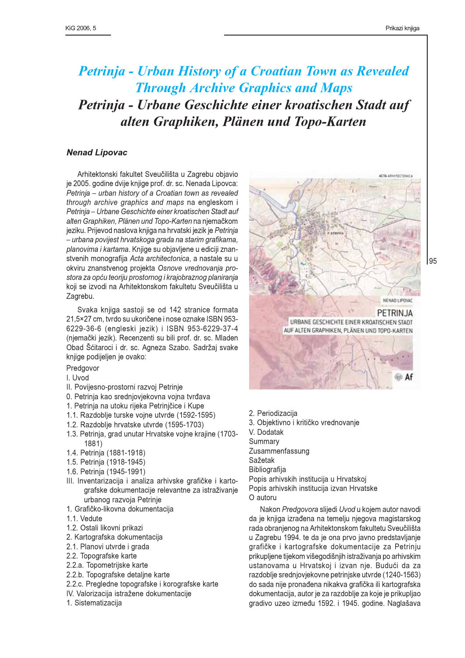# **Petrinja - Urban History of a Croatian Town as Revealed Through Archive Graphics and Maps** Petrinja - Urbane Geschichte einer kroatischen Stadt auf alten Graphiken, Plänen und Topo-Karten

### **Nenad Lipovac**

Arhitektonski fakultet Sveučilišta u Zagrebu objavio je 2005. godine dvije knjige prof. dr. sc. Nenada Lipovca: Petrinja - urban history of a Croatian town as revealed through archive graphics and maps na engleskom i Petrinja – Urbane Geschichte einer kroatischen Stadt auf alten Graphiken. Plänen und Topo-Karten na niemačkom jeziku. Prijevod naslova knjiga na hrvatski jezik je Petrinja - urbana povijest hrvatskoga grada na starim grafikama, planovima i kartama. Knjige su objavljene u ediciji znanstvenih monografija Acta architectonica, a nastale su u okviru znanstvenog projekta Osnove vrednovanja prostora za opću teoriju prostornog i krajobraznog planiranja koji se izvodi na Arhitektonskom fakultetu Sveučilišta u Zagrebu.

Svaka knjiga sastoji se od 142 stranice formata 21,5×27 cm, tvrdo su ukoričene i nose oznake ISBN 953-6229-36-6 (engleski jezik) i ISBN 953-6229-37-4 (njemački jezik). Recenzenti su bili prof. dr. sc. Mladen Obad Šćitaroci i dr. sc. Agneza Szabo. Sadržaj svake knjige podijeljen je ovako:

Predgovor

- I. Uvod
- II. Povijesno-prostorni razvoj Petrinje
- 0. Petrinja kao srednjovjekovna vojna tvrđava
- 1. Petrinia na utoku rijeka Petriničice i Kupe
- 1.1. Razdoblie turske voine utvrde (1592-1595)
- 1.2. Razdoblie hrvatske utvrde (1595-1703)
- 1.3. Petrinia, grad unutar Hrvatske voine kraiine (1703-1881)
- 1.4. Petrinja (1881-1918)
- 1.5. Petrinja (1918-1945)
- 1.6. Petrinia (1945-1991)
- III. Inventarizacija i analiza arhivske grafičke i kartografske dokumentacije relevantne za istraživanje urbanog razvoja Petrinje
- 1. Grafičko-likovna dokumentacija
- 1.1. Vedute
- 1.2. Ostali likovni prikazi
- 2. Kartografska dokumentacija
- 2.1. Planovi utvrde i grada
- 2.2. Topografske karte
- 2.2.a. Topometrijske karte
- 2.2.b. Topografske detaline karte
- 2.2.c. Pregledne topografske i korografske karte
- IV. Valorizacija istražene dokumentacije
- 1. Sistematizacija



- 2. Periodizacija
- 3. Objektivno i kritičko vrednovanje
- V. Dodatak
- Summary

Zusammenfassung

- Sažetak
- Bibliografija

Popis arhivskih institucija u Hrvatskoj Popis arhivskih institucija izvan Hrvatske O autoru

Nakon Predgovora slijedi Uvod u kojem autor navodi da je knjiga izrađena na temelju njegova magistarskog rada obranjenog na Arhitektonskom fakultetu Sveučilišta u Zagrebu 1994, te da je ona prvo javno predstavljanje grafičke i kartografske dokumentacije za Petrinju prikupljene tijekom višegodišnjih istraživanja po arhivskim ustanovama u Hrvatskoj i izvan nje. Budući da za razdoblje srednjovjekovne petrinjske utvrde (1240-1563) do sada nije pronađena nikakva grafička ili kartografska dokumentacija, autor je za razdoblje za koje je prikupljao gradivo uzeo između 1592. i 1945. godine. Naglašava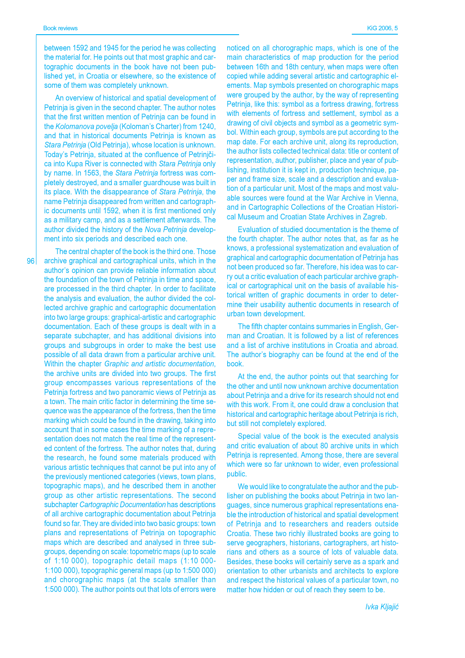between 1592 and 1945 for the period he was collecting the material for. He points out that most graphic and cartographic documents in the book have not been published vet, in Croatia or elsewhere, so the existence of some of them was completely unknown.

An overview of historical and spatial development of Petrinia is given in the second chapter. The author notes that the first written mention of Petrinia can be found in the Kolomanova povelja (Koloman's Charter) from 1240, and that in historical documents Petrinia is known as Stara Petrinia (Old Petrinia), whose location is unknown. Today's Petrinja, situated at the confluence of Petrinjčica into Kupa River is connected with Stara Petrinja only by name. In 1563, the Stara Petrinia fortress was completely destroyed, and a smaller quardhouse was built in its place. With the disappearance of Stara Petrinja, the name Petrinja disappeared from written and cartographic documents until 1592, when it is first mentioned only as a military camp, and as a settlement afterwards. The author divided the history of the Nova Petrinia development into six periods and described each one.

 $96<sup>1</sup>$ 

The central chapter of the book is the third one. Those archive graphical and cartographical units, which in the author's opinion can provide reliable information about the foundation of the town of Petrinia in time and space, are processed in the third chapter. In order to facilitate the analysis and evaluation, the author divided the collected archive graphic and cartographic documentation into two large groups: graphical-artistic and cartographic documentation. Each of these groups is dealt with in a separate subchapter, and has additional divisions into groups and subgroups in order to make the best use possible of all data drawn from a particular archive unit. Within the chapter Graphic and artistic documentation. the archive units are divided into two groups. The first group encompasses various representations of the Petrinia fortress and two panoramic views of Petrinia as a town. The main critic factor in determining the time sequence was the appearance of the fortress, then the time marking which could be found in the drawing, taking into account that in some cases the time marking of a representation does not match the real time of the represented content of the fortress. The author notes that, during the research, he found some materials produced with various artistic techniques that cannot be put into any of the previously mentioned categories (views, town plans, topographic maps), and he described them in another group as other artistic representations. The second subchapter Cartographic Documentation has descriptions of all archive cartographic documentation about Petrinja found so far. They are divided into two basic groups: town plans and representations of Petrinia on topographic maps which are described and analysed in three subgroups, depending on scale: topometric maps (up to scale of 1:10 000), topographic detail maps (1:10 000-1:100 000), topographic general maps (up to 1:500 000) and chorographic maps (at the scale smaller than 1:500 000). The author points out that lots of errors were noticed on all chorographic maps, which is one of the main characteristics of map production for the period between 16th and 18th century, when maps were often copied while adding several artistic and cartographic elements. Map symbols presented on chorographic maps were grouped by the author, by the way of representing Petrinja, like this: symbol as a fortress drawing, fortress with elements of fortress and settlement, symbol as a drawing of civil objects and symbol as a geometric symbol. Within each group, symbols are put according to the map date. For each archive unit, along its reproduction. the author lists collected technical data; title or content of representation, author, publisher, place and year of publishing, institution it is kept in, production technique, paper and frame size, scale and a description and evaluation of a particular unit. Most of the maps and most valuable sources were found at the War Archive in Vienna. and in Cartographic Collections of the Croatian Historical Museum and Croatian State Archives in Zagreb.

Evaluation of studied documentation is the theme of the fourth chapter. The author notes that, as far as he knows, a professional systematization and evaluation of graphical and cartographic documentation of Petrinja has not been produced so far. Therefore, his idea was to carry out a critic evaluation of each particular archive graphical or cartographical unit on the basis of available historical written of graphic documents in order to determine their usability authentic documents in research of urban town development.

The fifth chapter contains summaries in English, German and Croatian. It is followed by a list of references and a list of archive institutions in Croatia and abroad. The author's biography can be found at the end of the book.

At the end, the author points out that searching for the other and until now unknown archive documentation about Petrinia and a drive for its research should not end with this work. From it, one could draw a conclusion that historical and cartographic heritage about Petrinja is rich, but still not completely explored.

Special value of the book is the executed analysis and critic evaluation of about 80 archive units in which Petrinja is represented. Among those, there are several which were so far unknown to wider, even professional public.

We would like to congratulate the author and the publisher on publishing the books about Petrinia in two languages, since numerous graphical representations enable the introduction of historical and spatial development of Petrinia and to researchers and readers outside Croatia. These two richly illustrated books are going to serve geographers, historians, cartographers, art historians and others as a source of lots of valuable data. Besides, these books will certainly serve as a spark and orientation to other urbanists and architects to explore and respect the historical values of a particular town, no matter how hidden or out of reach they seem to be.